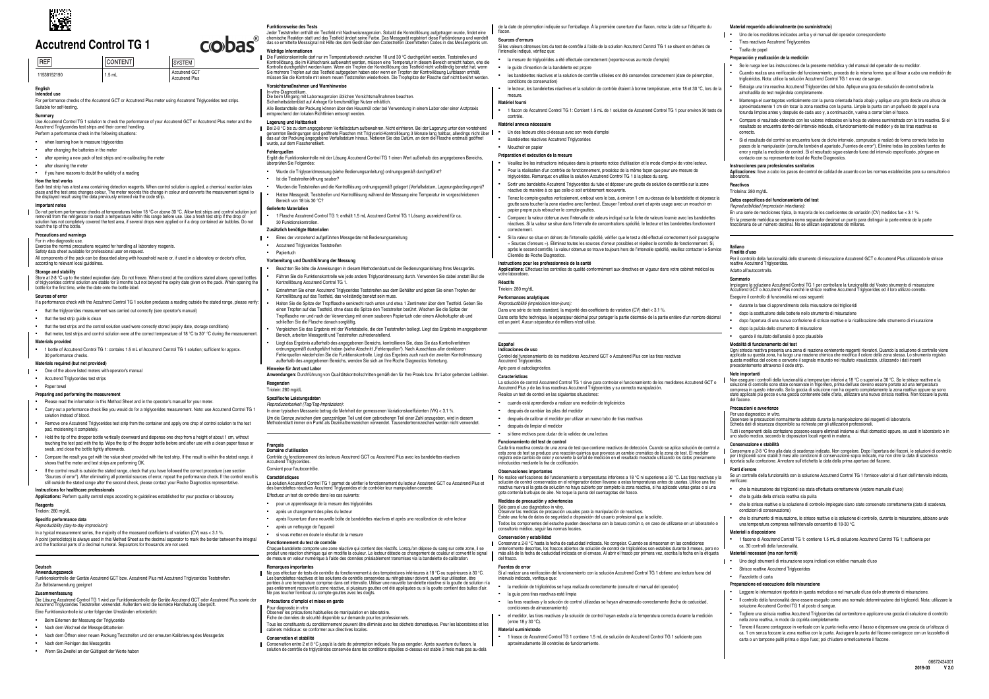|                      |                 | -----<br>___                                  |
|----------------------|-----------------|-----------------------------------------------|
| $I$ REF <sup>1</sup> | <b>ICONTENT</b> | <b>SYSTEM</b>                                 |
| 11538152190          | $1.5$ mL        | <b>Accutrend GCT</b><br><b>Accutrend Plus</b> |

For performance checks of the Accutrend GCT or Accutrend Plus meter using Accutrend Triglycerides test strips. Suitable for self-testing.

## **English Intended use**

**Summary**<br>Use Accutrend Control TG 1 solution to check the performance of your Accutrend GCT or Accutrend Plus meter and the Accutrend Triglycerides test strips and their correct handling.

- Perform a performance check in the following situations:
- when learning how to measure triglycerides
- after changing the batteries in the meter
- after opening a new pack of test strips and re-calibrating the meter
- after cleaning the meter

### **■** if you have reasons to doubt the validity of a reading

**How the test works**<br>Each test strip has a test area containing detection reagents. When control solution is applied, a chemical reaction takes<br>place and the test area changes colour. The meter records this change in colou

Do not perform performance checks at temperatures below 18 °C or above 30 °C. Allow test strips and control solution just<br>removed from the refrigerator to reach a temperature within this range before use. Use a fresh test touch the tip of the bottle.

All components of the pack can be discarded along with household waste or, if used in a laboratory or doctor's office, according to relevant local quideli

#### **Important notes**

Store at 2-8 °C up to the stated expiration date. Do not freeze. When stored at the conditions stated above, opened bottles of triglycerides control solution are stable for 3 months but not beyond the expiry date given on the pack. When opening the bottle for the first time, write the date onto the bottle label.

1 bottle of Accutrend Control TG 1: contains 1.5 mL of Accutrend Control TG 1 solution: sufficient for approx. 30 performance checks.

### **Precautions and warnings**

For in vitro diagnostic use.<br>Exercise the normal precautions required for handling all laboratory reagents.<br>Safety data sheet available for professional user on request.

- Carry out a performance check like you would do for a triglycerides measurement. Note: use Accutrend Control TG 1 solution instead of blood.
- Bemove one Accutrend Triglycerides test strip from the container and apply one drop of control solution to the test pad, moistening it completely.
- Hold the tip of the dropper bottle vertically downward and dispense one drop from a height of about 1 cm, without<br>touching the test pad with the tip. Wipe the tip of the dropper bottle before and after use with a clean pap swab, and close the bottle tightly afterwards
- Compare the result you get with the value sheet provided with the test strip. If the result is within the stated range, it shows that the meter and test strips are performing OK.
- If the control result is outside the stated range, check that you have followed the correct procedure (see section "Sources of error"). After eliminating all potential sources of error, repeat the performance check. If the control result is<br>still outside the stated range after the second check, please contact your Roche Diagnostics rep

#### **Storage and stability**

#### **Sources of error**

If a performance check with the Accutrend Control TG 1 solution produces a reading outside the stated range, please verify

- that the triglycerides measurement was carried out correctly (see operator's manual)
- that the test strip quide is clean
- that the test strips and the control solution used were correctly stored (expiry date, storage conditions)  $\bullet$  that meter, test strips and control solution were at the correct temperature of 18 °C to 30° °C during the measurement.

In a typical measurement series, the majority of the measured coefficients of variation  $(CV)$  was  $< 3.1$  %. A point (period/stop) is always used in this Method Sheet as the decimal separator to mark the border between the integral and the fractional parts of a decimal numeral. Separators for thousands are not used.

**Zusammenfassung**<br>Die Lösung Accutrend Control TG 1 wird zur Funktionskontrolle der Geräte Accutrend GCT oder Accutrend Plus sowie der Accutrend Triglycerides Teststreifen verwendet. Außerdem wird die korrekte Handhabung überprüft. Eine Funktionskontrolle ist unter folgenden Umständen erforderlich:

#### **Materials provided**

- Beim Erlernen der Messung der Triglyceride
- Nach dem Wechsel der Messgerätbatterien
- Nach dem Öffnen einer neuen Packung Teststreifen und der erneuten Kalibrierung des Messgeräts
- Nach dem Reinigen des Messgeräts
- Wenn Sie Zweifel an der Gültigkeit der Werte haben

**Funktionsweise des Tests**<br>Jeder Teststreifen enthält ein Testfeld mit Nachweisreagenzien. Sobald die Kontrolllösung aufgetragen wurde, findet eine<br>chemische Reaktion statt und das Testfeld ändert seine Farbe. Das Messgerä

#### **Materials required (but not provided)**

**I** • One of the above listed meters with operator's manual

- Accutrend Triglycerides test strips
- Paper towe

Die Funktionskontrolle darf nur im Temperaturbereich zwischen 18 und 30 °C durchgeführt werden. Teststreifen und Kontrolllösung, die im Kühlschrank aufbewahrt werden, müssen eine Temperatur in diesem Bereich erreicht haben, ehe die<br>Kontrolle durchgeführt werden kann. Wenn ein Tropfen der Kontrolllösung das Testfeld nicht vollständig

#### **Preparing and performing the measurement**

▪ Please read the information in this Method Sheet and in the operator's manual for your meter.

- Wurde die Triglyceridmessung (siehe Bedienungsanleitung) ordnungsgemäß durchgeführt?
- Ist die Teststreifenöffnung sauber?
- Wurden die Teststreifen und die Kontrolllösung ordnungsgemäß gelagert (Verfallsdatum, Lagerungsbedingungen)?
- Hatten Messgerät, Teststreifen und Kontrolllösung während der Messung eine Temperatur im vorgeschriebenen Bereich von 18 bis 30 °C?

- Eines der vorstehend aufgeführten Messgeräte mit Bedienungsanleitung
- **Accutrend Triglycerides Teststreifen**
- Papiertuch

#### **Instructions for healthcare professionals**

**Applications:** Perform quality control steps according to guidelines established for your practice or laboratory. **Reagents**

#### Triolein: 280 mg/dl

**Specific performance data**

#### *Reproducibility (day-to-day imprecision):*

#### **Deutsch Anwendungszweck**

- Beachten Sie bitte die Anweisungen in diesem Methodenblatt und der Bedienungsanleitung Ihres Messgeräts. ▪ Führen Sie die Funktionskontrolle wie jede andere Triglyceridmessung durch. Verwenden Sie dabei anstatt Blut die
- Kontrolllösung Accutrend Control TG 1. ▪ Entnehmen Sie einen Accutrend Triglycerides Teststreifen aus dem Behälter und geben Sie einen Tropfen der Kontrolllösung auf das Testfeld, das vollständig benetzt sein muss.
- Halten Sie die Spitze der Tropfflasche senkrecht nach unten und etwa 1 Zentimeter über dem Testfeld. Geben Sie einen Tropfen auf das Testfeld, ohne dass die Spitze den Teststreifen berührt. Wischen Sie die Spitze der Tropfflasche vor und nach der Verwendung mit einem sauberen Papiertuch oder einem Alkoholtupfer ab und schließen Sie die Flasche danach sorgfältig.
- Vergleichen Sie das Ergebnis mit der Wertetabelle, die den Teststreifen beiliegt. Liegt das Ergebnis im angegebenen Bereich, arbeiten Messgerät und Teststreifen zufriedenstellend.
- Liegt das Ergebnis außerhalb des angegebenen Bereichs, kontrollieren Sie, dass Sie das Kontrollverfahren ordnungsgemäß durchgeführt haben (siehe Abschnitt "Fehlerquellen"). Nach Ausschluss aller denkbaren
- Fehlerquellen wiederholen Sie die Funktionskontrolle. Liegt das Ergebnis auch nach der zweiten Kontrollmessung außerhalb des angegebenen Bereichs, wenden Sie sich an Ihre Roche Diagnostics Vertretung. **Hinweise für Arzt und Labor**
- **Anwendungen:** Durchführung von Qualitätskontrollschritten gemäß den für Ihre Praxis bzw. Ihr Labor geltenden Leitlinien. **Reagenzien**

Funktionskontrolle der Geräte Accutrend GCT bzw. Accutrend Plus mit Accutrend Triglycerides Teststreifen. Zur Selbstanwendung geeignet

après un nettovage de l'appareil ▪ si vous mettez en doute le résultat de la mesure

Ne pas effectuer de tests de contrôle du fonctionnement à des températures inférieures à 18 °C ou supérieures à 30 °C. Les bandelettes réactives et les solutions de contrôle conservées au réfrigérateur doivent, avant leur utilisation, être<br>portées à une température comprise dans cet intervalle. Utiliser une nouvelle bandelette réactive si

## **Wichtige Informationen**

cobas

#### **Vorsichtsmaßnahmen und Warnhinweise**

In-vitro-Diagnostikum.

Die beim Umgang mit Laborreagenzien üblichen Vorsichtsmaßnahmen beachten. Sicherheitsdatenblatt auf Anfrage für berufsmäßige Nutzer erhältlich.

Mouchoir en papier **Préparation et exécution de la mesure**

Alle Bestandteile der Packung können über den Hausmüll oder bei Verwendung in einem Labor oder einer Arztpraxis entsprechend den lokalen Richtlinien entsorgt werden.

### **Lagerung und Haltbarkeit**

Bei 2-8 °C bis zu dem angegebenen Verfallsdatum aufbewahren. Nicht einfrieren. Bei der Lagerung unter den vorstehend<br>genannten Bedingungen sind geöffnete Flaschen mit Triglycerid-Kontrolllösung 3 Monate lang haltbar, aller

Veuillez lire les instructions indiquées dans la présente notice d'utilisation et le mode d'emploi de votre lecteur ▪ Pour la réalisation d'un contrôle de fonctionnement, procédez de la même façon que pour une mesure de triglycérides. Remarque: on utilise la solution Accutrend Control TG 1 à la place du sang.

### **Fehlerquellen**

Ergibt die Funktionskontrolle mit der Lösung Accutrend Control TG 1 einen Wert außerhalb des angegebenen Bereichs, überprüfen Sie Folgendes:

> Si la valeur se situe en dehors de l'intervalle spécifié, vérifier que le test a été effectué correctement (voir paragraphe « Sources d'erreurs »). Éliminez toutes les sources d'erreur possibles et répétez le contrôle de fonctionner après le second contrôle, la valeur obtenue se trouve toujours hors de l'intervalle spécifié, veuillez contacter le Service

#### **Gelieferte Materialien**

▪ 1 Flasche Accutrend Control TG 1: enthält 1.5 mL Accutrend Control TG 1 Lösung; ausreichend für ca. 30 Funktionskontrollen.

#### **Zusätzlich benötigte Materialien**

#### **Vorbereitung und Durchführung der Messung**

**Funcionamiento del test de control** Cada tira reactiva consta de una zona de test que contiene reactivos de detección. Cuando se aplica solución de control a<br>esta zona de test se produce una reacción química que provoca un cambio cromático de la zona de test

No realice verificaciones del funcionamiento a temperaturas inferiores a 18 °C ni superiores a 30 °C. Las tiras reactivas y la<br>solución de control conservadas en el refrigerador deben llevarse a estas temperaturas antes d

Triolein: 280 mg/dL

### **Spezifische Leistungsda**

#### *Reproduzierbarkeit (Tag/Tag-Impräzision):*

Mantenga el cuentagotas verticalmente con la punta orientada hacia abajo y aplique una gota desde una altura de aproximadamente 1 cm sin tocar la zona reactiva con la punta. Limpie la punta con un pañuelo de papel o una torunda limpios antes y después de cada uso y, a continuación, vuelva a cerrar bien el frasco.

In einer typischen Messserie betrug die Mehrheit der gemessenen Variationskoeffizienten (VK) < 3.1 %. Um die Grenze zwischen dem ganzzahligen Teil und dem gebrochenen Teil einer Zahl anzugeben, wird in diesem Methodenblatt immer ein Punkt als Dezimaltrennzeichen verwendet. Tausendertrennzeichen werden nicht verwendet.

#### **Français**

**Domaine d'utilisation**

Contrôle du fonctionnement des lecteurs Accutrend GCT ou Accutrend Plus avec les bandelettes réactives **Accutrend Triglycerides.** Convient pour l'autocontrôle.

#### **Caractéristiques**

La solution Accutrend Control TG 1 permet de vérifier le fonctionnement du lecteur Accutrend GCT ou Accutrend Plus et des bandelettes réactives Accutrend Triglycerides et de contrôler leur manipu Effectuez un test de contrôle dans les cas suivants:

Per il controllo della funzionalità dello strumento di misurazione Accutrend GCT o Accutrend Plus utilizzando le strisce reattive Accutrend Triglycerides. Adatto all'autocontrollo

- pour un apprentissage de la mesure des triglycérides
- après un changement des piles du lecteur
- 
- après l'ouverture d'une nouvelle boîte de bandelettes réactives et après une recalibration de votre lecteur

Chaque bandelette comporte une zone réactive qui contient des réactifs. Lorsqu'on dépose du sang sur cette zone, il se<br>produit une réaction chimique qui en modifie la couleur. Le lecteur détecte ce changement de couleur et

**Fonctionnement du test de contrôle**

**Remarques importantes**

Conservare a 2‑8 °C fino alla data di scadenza indicata. Non congelare. Dopo l'apertura dei flaconi, le soluzioni di controllo per i trigliceridi sono stabili 3 mesi alle condizioni di conservazione sopra indicate, ma non oltre la data di scadenza<br>riportata sulla confezione. Annotare sull'etichetta la data della prima apertura del flacone.

**Précautions d'emploi et mises en garde**

Pour diagnostic in vitro Observer les précautions habituelles de manipulation en laboratoire. Fiche de données de sécurité disponible sur demande pour les professionnels.

Tous les constituants du conditionnement peuvent être éliminés avec les déchets domestiques. Pour les laboratoires et les

Conservation entre 2 et 8 °C jusqu'à la date de péremption indiquée. Ne pas congeler. Après ouverture du flacon, la<br>
solution de contrôle de triglucérides conservée dans les conditions stinulées ci-dessus est stable 3 mois solution de trigles de trigles de trigles de trigles de trigles est sus est sus est sus est subservées de la p<br>Invée dans les conditions stipulées ci-de

cabinets médicaux: se conformer aux directives locales.

**Conservation et stabilité**

de la date de péremption indiquée sur l'emballage. À la première ouverture d'un flacon, notez la date sur l'étiquette du

flacon. **Sources d'erreurs**

Si les valeurs obtenues lors du test de contrôle à l'aide de la solution Accutrend Control TG 1 se situent en dehors de l'intervalle indiqué, vérifiez que:

les bandelettes réactives et la solution de contrôle utilisées ont été conservées correctement (date de péremption,

conditions de conservation)

▪ le lecteur, les bandelettes réactives et la solution de contrôle étaient à bonne température, entre 18 et 30 °C, lors de la

■ 1 flacon de Accutrend Control TG 1: Contient 1.5 mL de 1 solution de Accutrend Control TG 1 pour environ 30 tests d

mesure. **Matériel fourni**

contrôle. **Matériel annexe nécessaire**

▪ Un des lecteurs cités ci‑dessus avec son mode d'emploi ▪ Bandelettes réactives Accutrend Triglycerides

papier propre puis reboucher le compte-gouttes.

▪ Sortir une bandelette Accutrend Triglycerides du tube et déposer une goutte de solution de contrôle sur la zone

réactive de manière à ce que celle‑ci soit entièrement recouverte.

▪ Tenez le compte‑gouttes verticalement, embout vers le bas, à environ 1 cm au‑dessus de la bandelette et déposez la goutte sans toucher la zone réactive avec l'embout. Essuyer l'embout avant et après usage avec un mouchoir en

▪ Comparez la valeur obtenue avec l'intervalle de valeurs indiqué sur la fiche de valeurs fournie avec les bandelettes réactives. Si la valeur se situe dans l'intervalle de concentrations spécifié, le lecteur et les bandelettes fonctionnent

correctement.

Clientèle de Roche Diagnostics. **Instructions pour les professionnels de la santé**

**Applications:** Effectuez les contrôles de qualité conformément aux directives en vigueur dans votre cabinet médical ou

votre laboratoire. **Réactifs** Triolein: 280 mg/dL **Performances analytiques** *Reproductibilité (imprécision inter‑jours):*

Dans une série de tests standard, la majorité des coefficients de variation (CV) était < 3.1 %.

Dans cette fiche technique, le séparateur décimal pour partager la partie décimale de la partie entière d'un nombre décimal est un point. Aucun séparateur de milliers n'est utilisé.

**Español Indicaciones de uso**

Control del funcionamiento de los medidores Accutrend GCT o Accutrend Plus con las tiras reactivas Accutrend Triglycerides.

Apto para el autodiagnóstico. **Características**

La solución de control Accutrend Control TG 1 sirve para controlar el funcionamiento de los medidores Accutrend GCT o

Accutrend Plus y de las tiras reactivas Accutrend Triglycerides y su correcta manipulación.

Realice un test de control en las siguientes situaciones: ▪ cuando está aprendiendo a realizar una medición de triglicéridos

▪ después de calibrar el medidor por utilizar un nuevo tubo de tiras reactivas

▪ después de limpiar el medidor

▪ si tiene motivos para dudar de la validez de una lectura

después de cambiar las pilas del medidor

**Observaciones importantes**

gota contenía burbujas de aire. No toque la punta del cuentagotas del frasco.

Sólo para el uso diagnóstico in vitro.<br>Observar las medidas de precaución usuales para la manipulación de reactivos.<br>Existe una ficha de datos de seguridad a disposición del usuario profesional que la solicite.

■ la mesure de triglycérides a été effectuée correctement (reportez-vous au mode d'emploi)

le guide d'insertion de la bandelette est propre

**Medidas de precaución y advertencias**

Todos los componentes del estuche pueden desecharse con la basura común o, en caso de utilizarse en un laboratorio o consultorio médico, seguir las normas locales.

Conservar a 2-8 °C hasta la fecha de caducidad indicada. No congelar. Cuando se almacenan en las condiciones<br>anteriormente descritas, los frascos abiertos de solución de control de triglicéridos son estables durante 3 mese

**Conservación y estabilidad**

intervalo indicado, verifique que

del frasco. **Fuentes de error**

Si al realizar una verificación del funcionamiento con la solución Accutrend Control TG 1 obtiene una lectura fuera del

▪ la medición de triglicéridos se haya realizado correctamente (consulte el manual del operador)

▪ las tiras reactivas y la solución de control utilizadas se hayan almacenado correctamente (fecha de caducidad,

condiciones de almacenamiento)

aproximadamente 30 controles de funcionamiento.

▪ el medidor, las tiras reactivas y la solución de control hayan estado a la temperatura correcta durante la medición

(entre 18 y 30 °C). **Material suministrado**

la guía para tiras reactivas esté limpia

▪ 1 frasco de Accutrend Control TG 1 contiene 1.5 mL de solución de Accutrend Control TG 1 suficiente para

#### **Material requerido adicionalmente (no suministrado)**

▪ Uno de los medidores indicados arriba y el manual del operador correspondiente ▪ Tiras reactivas Accutrend Triglycerides

## ▪ Toalla de papel

### **Preparación y realización de la medición**

Se le ruega leer las instrucciones de la presente metódica y del manual del operador de su medidor.

▪ Cuando realiza una verificación del funcionamiento, proceda de la misma forma que al llevar a cabo una medición de triglicéridos. Nota: utilice la solución Accutrend Control TG 1 en vez de sangre.

Extraiga una tira reactiva Accutrend Triglycerides del tubo. Aplique una gota de solución de control sobre la dilla de test mojándola comple

▪ Compare el resultado obtenido con los valores indicados en la hoja de valores suministrada con la tira reactiva. Si el resultado se encuentra dentro del intervalo indicado, el funcionamiento del medidor y de las tiras reactivas es correcto.

▪ Si el resultado del control se encuentra fuera de dicho intervalo, compruebe si realizó de forma correcta todos los pasos de la manipulación (consulte también el apartado "Fuentes de error"). Elimine todas las posibles fuentes de error y repita la medición de control. Si el resultado sigue estando fuera del intervalo especificado, póngase en contacto con su representante local de Roche Diagnostics.

#### **Instrucciones para profesionales sanitarios**

**Aplicaciones:** lleve a cabo los pasos de control de calidad de acuerdo con las normas establecidas para su consultorio o laboratorio.

#### **Reactivos** Trioleína: 280 mg/dL

#### **Datos específicos del funcionamiento del test**

*Reproducibilidad (imprecisión interdiaria):*

En una serie de mediciones típica, la mayoría de los coeficientes de variación (CV) medidos fue < 3.1 %. En la presente metódica se emplea como separador decimal un punto para distinguir la parte entera de la parte fraccionaria de un número decimal. No se utilizan separadores de millares.

## **Italiano Finalità d'uso**

### **Sommario**

Impiegare la soluzione Accutrend Control TG 1 per controllare la funzionalità del Vostro strumento di misurazione Accutrend GCT o Accutrend Plus nonché le strisce reattive Accutrend Triglycerides ed il loro utilizzo corretto.

Eseguire il controllo di funzionalità nei casi seguenti:

▪ durante la fase di apprendimento della misurazione dei trigliceridi

▪ dopo la sostituzione delle batterie nello strumento di misurazione

▪ dopo l'apertura di una nuova confezione di strisce reattive e la ricalibrazione dello strumento di misurazione

▪ dopo la pulizia dello strumento di misurazione

▪ quando il risultato dell'analisi è poco plausibile

#### **Modalità di funzionamento del test**

Ogni striscia reattiva presenta una zona di reazione contenente reagenti rilevatori. Quando la soluzione di controllo viene<br>applicata su questa zona, ha luogo una reazione chimica che modifica il colore della zona stessa. precedente attraverso il code stri<br>Precedente attraverso il code stri

#### **Note importanti**

Non eseguire i controlli della funzionalità a temperature inferiori a 18 °C o superiori a 30 °C. Se le strisce reattive e la soluzione di controllo sono state conservate in frigorifero, prima dell'uso devono essere portate ad una temperatura<br>compresa in questo intervallo. Se la goccia di soluzione non ha coperto completamente la zona reattiva op state applicate più gocce o una goccia contenente bolle d'aria, utilizzare una nuova striscia reattiva. Non toccare la punta del flacone.

## **Precauzioni e avvertenze**

Per uso diagnostico *in vitro*.

Osservare le precauzioni normalmente adottate durante la manipolazione dei reagenti di laboratorio. Scheda dati di sicurezza disponibile su richiesta per gli utilizzatori professionali.

Tutti i componenti della confezione possono essere eliminati insieme ai rifiuti domestici oppure, se usati in laboratorio o in uno studio medico, secondo le disposizioni locali vigenti in materia.

#### **Conservazione e stabilità**

#### **Fonti d'errore**

Se un controllo della funzionalità con la soluzione Accutrend Control TG 1 fornisce valori al di fuori dell'intervallo indicato,

verificare:

▪ che la misurazione dei trigliceridi sia stata effettuata correttamente (vedere manuale d'uso)

▪ che la guida della striscia reattiva sia pulita

▪ che le strisce reattive e la soluzione di controllo impiegate siano state conservate correttamente (data di scadenza, condizioni di conservazione)

▪ che lo strumento di misurazione, le strisce reattive e la soluzione di controllo, durante la misurazione, abbiano avuto una temperatura compresa nell'intervallo consentito di 18‑30 °C.

#### **Materiali a disposizione**

■ 1 flacone di Accutrend Control TG 1: contiene 1.5 mL di soluzione Accutrend Control TG 1; sufficiente per

### ca. 30 controlli della funzionalità.

#### **Materiali necessari (ma non forniti)**

▪ Uno degli strumenti di misurazione sopra indicati con relativo manuale d'uso

Strisce reattive Accutrend Triglycerides

▪ Fazzoletto di carta

### **Preparazione ed esecuzione della misurazione**

▪ Leggere le informazioni riportate in questa metodica e nel manuale d'uso dello strumento di misurazione.

▪ Il controllo della funzionalità deve essere eseguito come una normale determinazione dei trigliceridi. Nota: utilizzare la soluzione Accutrend Control TG 1 al posto di sangue.

▪ Togliere una striscia reattiva Accutrend Triglycerides dal contenitore e applicare una goccia di soluzione di controllo nella zona reattiva, in modo da coprirla completamente.

▪ Tenere il flacone contagocce in verticale con la punta rivolta verso il basso e dispensare una goccia da un'altezza di ca. 1 cm senza toccare la zona reattiva con la punta. Asciugare la punta del flacone contagocce con un fazzoletto di carta o un tampone puliti prima e dopo l'uso; poi chiudere ermeticamente il flacone.



## **Accutrend Control TG 1**